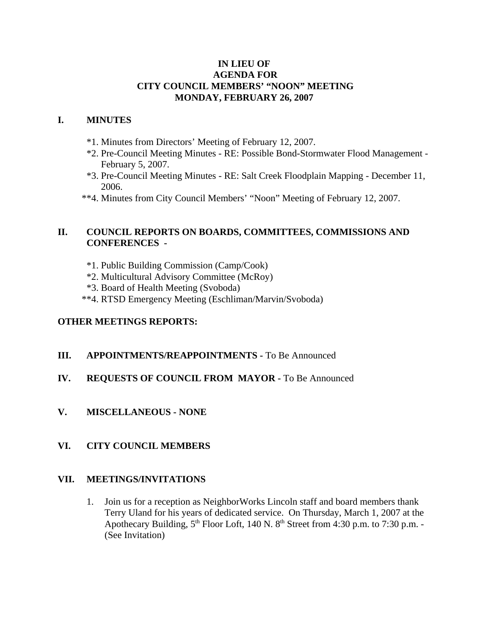### **IN LIEU OF AGENDA FOR CITY COUNCIL MEMBERS' "NOON" MEETING MONDAY, FEBRUARY 26, 2007**

### **I. MINUTES**

- \*1. Minutes from Directors' Meeting of February 12, 2007.
- \*2. Pre-Council Meeting Minutes RE: Possible Bond-Stormwater Flood Management February 5, 2007.
- \*3. Pre-Council Meeting Minutes RE: Salt Creek Floodplain Mapping December 11, 2006.
- \*\*4. Minutes from City Council Members' "Noon" Meeting of February 12, 2007.

# **II. COUNCIL REPORTS ON BOARDS, COMMITTEES, COMMISSIONS AND CONFERENCES -**

- \*1. Public Building Commission (Camp/Cook)
- \*2. Multicultural Advisory Committee (McRoy)
- \*3. Board of Health Meeting (Svoboda)
- \*\*4. RTSD Emergency Meeting (Eschliman/Marvin/Svoboda)

### **OTHER MEETINGS REPORTS:**

#### **III.** APPOINTMENTS/REAPPOINTMENTS - To Be Announced

# **IV. REQUESTS OF COUNCIL FROM MAYOR -** To Be Announced

**V. MISCELLANEOUS - NONE**

# **VI. CITY COUNCIL MEMBERS**

#### **VII. MEETINGS/INVITATIONS**

1. Join us for a reception as NeighborWorks Lincoln staff and board members thank Terry Uland for his years of dedicated service. On Thursday, March 1, 2007 at the Apothecary Building,  $5<sup>th</sup>$  Floor Loft, 140 N.  $8<sup>th</sup>$  Street from 4:30 p.m. to 7:30 p.m. -(See Invitation)